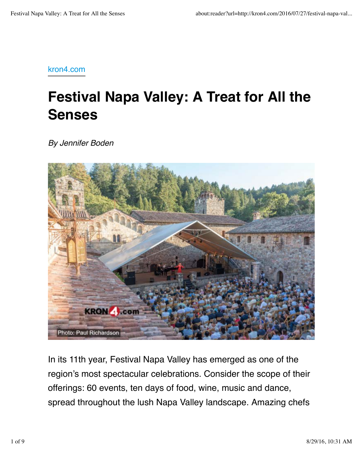kron4.com

# **Festival Napa Valley: A Treat for All the Senses**

*By Jennifer Boden*



In its 11th year, Festival Napa Valley has emerged as one of the region's most spectacular celebrations. Consider the scope of their offerings: 60 events, ten days of food, wine, music and dance, spread throughout the lush Napa Valley landscape. Amazing chefs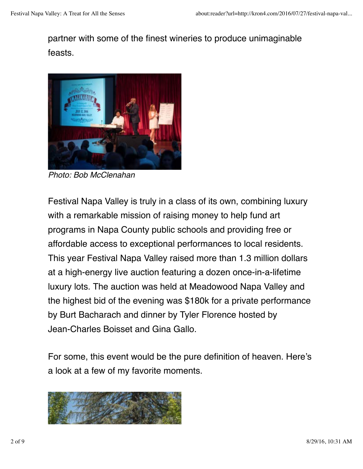## partner with some of the finest wineries to produce unimaginable feasts.



*Photo: Bob McClenahan*

Festival Napa Valley is truly in a class of its own, combining luxury with a remarkable mission of raising money to help fund art programs in Napa County public schools and providing free or affordable access to exceptional performances to local residents. This year Festival Napa Valley raised more than 1.3 million dollars at a high-energy live auction featuring a dozen once-in-a-lifetime luxury lots. The auction was held at Meadowood Napa Valley and the highest bid of the evening was \$180k for a private performance by Burt Bacharach and dinner by Tyler Florence hosted by Jean-Charles Boisset and Gina Gallo.

For some, this event would be the pure definition of heaven. Here's a look at a few of my favorite moments.

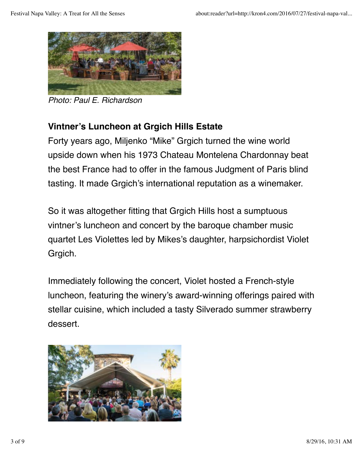

*Photo: Paul E. Richardson*

#### **Vintner's Luncheon at Grgich Hills Estate**

Forty years ago, Miljenko "Mike" Grgich turned the wine world upside down when his 1973 Chateau Montelena Chardonnay beat the best France had to offer in the famous Judgment of Paris blind tasting. It made Grgich's international reputation as a winemaker.

So it was altogether fitting that Grgich Hills host a sumptuous vintner's luncheon and concert by the baroque chamber music quartet Les Violettes led by Mikes's daughter, harpsichordist Violet Grgich.

Immediately following the concert, Violet hosted a French-style luncheon, featuring the winery's award-winning offerings paired with stellar cuisine, which included a tasty Silverado summer strawberry dessert.

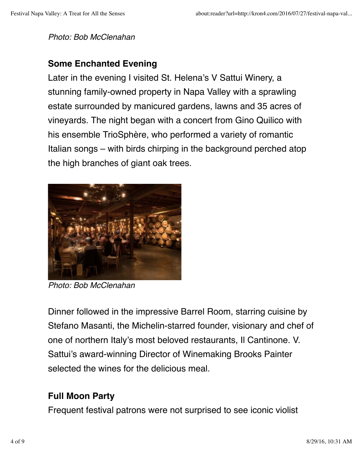*Photo: Bob McClenahan*

#### **Some Enchanted Evening**

Later in the evening I visited St. Helena's V Sattui Winery, a stunning family-owned property in Napa Valley with a sprawling estate surrounded by manicured gardens, lawns and 35 acres of vineyards. The night began with a concert from Gino Quilico with his ensemble TrioSphère, who performed a variety of romantic Italian songs – with birds chirping in the background perched atop the high branches of giant oak trees.



*Photo: Bob McClenahan*

Dinner followed in the impressive Barrel Room, starring cuisine by Stefano Masanti, the Michelin-starred founder, visionary and chef of one of northern Italy's most beloved restaurants, Il Cantinone. V. Sattui's award-winning Director of Winemaking Brooks Painter selected the wines for the delicious meal.

#### **Full Moon Party**

Frequent festival patrons were not surprised to see iconic violist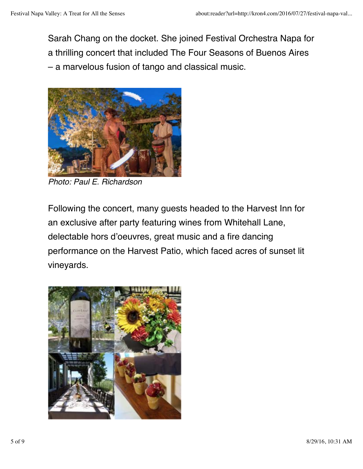Sarah Chang on the docket. She joined Festival Orchestra Napa for a thrilling concert that included The Four Seasons of Buenos Aires – a marvelous fusion of tango and classical music.



*Photo: Paul E. Richardson*

Following the concert, many guests headed to the Harvest Inn for an exclusive after party featuring wines from Whitehall Lane, delectable hors d'oeuvres, great music and a fire dancing performance on the Harvest Patio, which faced acres of sunset lit vineyards.

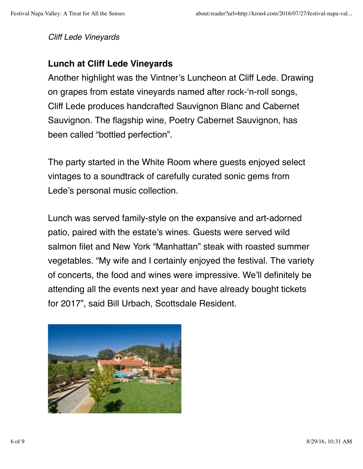*Cliff Lede Vineyards*

#### **Lunch at Cliff Lede Vineyards**

Another highlight was the Vintner's Luncheon at Cliff Lede. Drawing on grapes from estate vineyards named after rock-'n-roll songs, Cliff Lede produces handcrafted Sauvignon Blanc and Cabernet Sauvignon. The flagship wine, Poetry Cabernet Sauvignon, has been called "bottled perfection".

The party started in the White Room where guests enjoyed select vintages to a soundtrack of carefully curated sonic gems from Lede's personal music collection.

Lunch was served family-style on the expansive and art-adorned patio, paired with the estate's wines. Guests were served wild salmon filet and New York "Manhattan" steak with roasted summer vegetables. "My wife and I certainly enjoyed the festival. The variety of concerts, the food and wines were impressive. We'll definitely be attending all the events next year and have already bought tickets for 2017", said Bill Urbach, Scottsdale Resident.

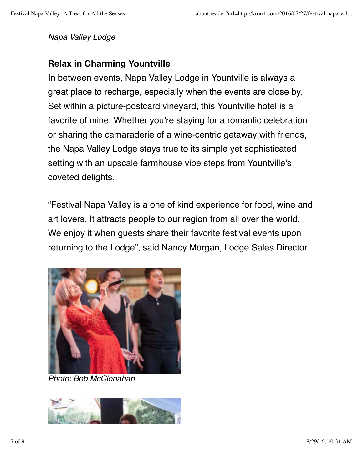*Napa Valley Lodge*

#### **Relax in Charming Yountville**

In between events, Napa Valley Lodge in Yountville is always a great place to recharge, especially when the events are close by. Set within a picture-postcard vineyard, this Yountville hotel is a favorite of mine. Whether you're staying for a romantic celebration or sharing the camaraderie of a wine-centric getaway with friends, the Napa Valley Lodge stays true to its simple yet sophisticated setting with an upscale farmhouse vibe steps from Yountville's coveted delights.

"Festival Napa Valley is a one of kind experience for food, wine and art lovers. It attracts people to our region from all over the world. We enjoy it when guests share their favorite festival events upon returning to the Lodge", said Nancy Morgan, Lodge Sales Director.



*Photo: Bob McClenahan*

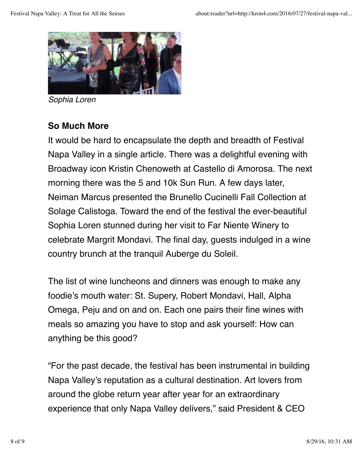

*Sophia Loren*

### **So Much More**

It would be hard to encapsulate the depth and breadth of Festival Napa Valley in a single article. There was a delightful evening with Broadway icon Kristin Chenoweth at Castello di Amorosa. The next morning there was the 5 and 10k Sun Run. A few days later, Neiman Marcus presented the Brunello Cucinelli Fall Collection at Solage Calistoga. Toward the end of the festival the ever-beautiful Sophia Loren stunned during her visit to Far Niente Winery to celebrate Margrit Mondavi. The final day, guests indulged in a wine country brunch at the tranquil Auberge du Soleil.

The list of wine luncheons and dinners was enough to make any foodie's mouth water: St. Supery, Robert Mondavi, Hall, Alpha Omega, Peju and on and on. Each one pairs their fine wines with meals so amazing you have to stop and ask yourself: How can anything be this good?

"For the past decade, the festival has been instrumental in building Napa Valley's reputation as a cultural destination. Art lovers from around the globe return year after year for an extraordinary experience that only Napa Valley delivers," said President & CEO